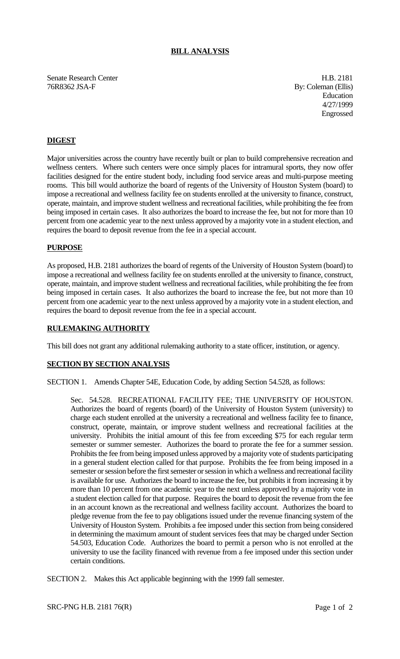## **BILL ANALYSIS**

Senate Research Center **H.B. 2181** 76R8362 JSA-F By: Coleman (Ellis)

Education 4/27/1999 Engrossed

# **DIGEST**

Major universities across the country have recently built or plan to build comprehensive recreation and wellness centers. Where such centers were once simply places for intramural sports, they now offer facilities designed for the entire student body, including food service areas and multi-purpose meeting rooms. This bill would authorize the board of regents of the University of Houston System (board) to impose a recreational and wellness facility fee on students enrolled at the university to finance, construct, operate, maintain, and improve student wellness and recreational facilities, while prohibiting the fee from being imposed in certain cases. It also authorizes the board to increase the fee, but not for more than 10 percent from one academic year to the next unless approved by a majority vote in a student election, and requires the board to deposit revenue from the fee in a special account.

#### **PURPOSE**

As proposed, H.B. 2181 authorizes the board of regents of the University of Houston System (board) to impose a recreational and wellness facility fee on students enrolled at the university to finance, construct, operate, maintain, and improve student wellness and recreational facilities, while prohibiting the fee from being imposed in certain cases. It also authorizes the board to increase the fee, but not more than 10 percent from one academic year to the next unless approved by a majority vote in a student election, and requires the board to deposit revenue from the fee in a special account.

# **RULEMAKING AUTHORITY**

This bill does not grant any additional rulemaking authority to a state officer, institution, or agency.

## **SECTION BY SECTION ANALYSIS**

SECTION 1. Amends Chapter 54E, Education Code, by adding Section 54.528, as follows:

Sec. 54.528. RECREATIONAL FACILITY FEE; THE UNIVERSITY OF HOUSTON. Authorizes the board of regents (board) of the University of Houston System (university) to charge each student enrolled at the university a recreational and wellness facility fee to finance, construct, operate, maintain, or improve student wellness and recreational facilities at the university. Prohibits the initial amount of this fee from exceeding \$75 for each regular term semester or summer semester. Authorizes the board to prorate the fee for a summer session. Prohibits the fee from being imposed unless approved by a majority vote of students participating in a general student election called for that purpose. Prohibits the fee from being imposed in a semester or session before the first semester or session in which a wellness and recreational facility is available for use. Authorizes the board to increase the fee, but prohibits it from increasing it by more than 10 percent from one academic year to the next unless approved by a majority vote in a student election called for that purpose. Requires the board to deposit the revenue from the fee in an account known as the recreational and wellness facility account. Authorizes the board to pledge revenue from the fee to pay obligations issued under the revenue financing system of the University of Houston System. Prohibits a fee imposed under this section from being considered in determining the maximum amount of student services fees that may be charged under Section 54.503, Education Code. Authorizes the board to permit a person who is not enrolled at the university to use the facility financed with revenue from a fee imposed under this section under certain conditions.

SECTION 2. Makes this Act applicable beginning with the 1999 fall semester.